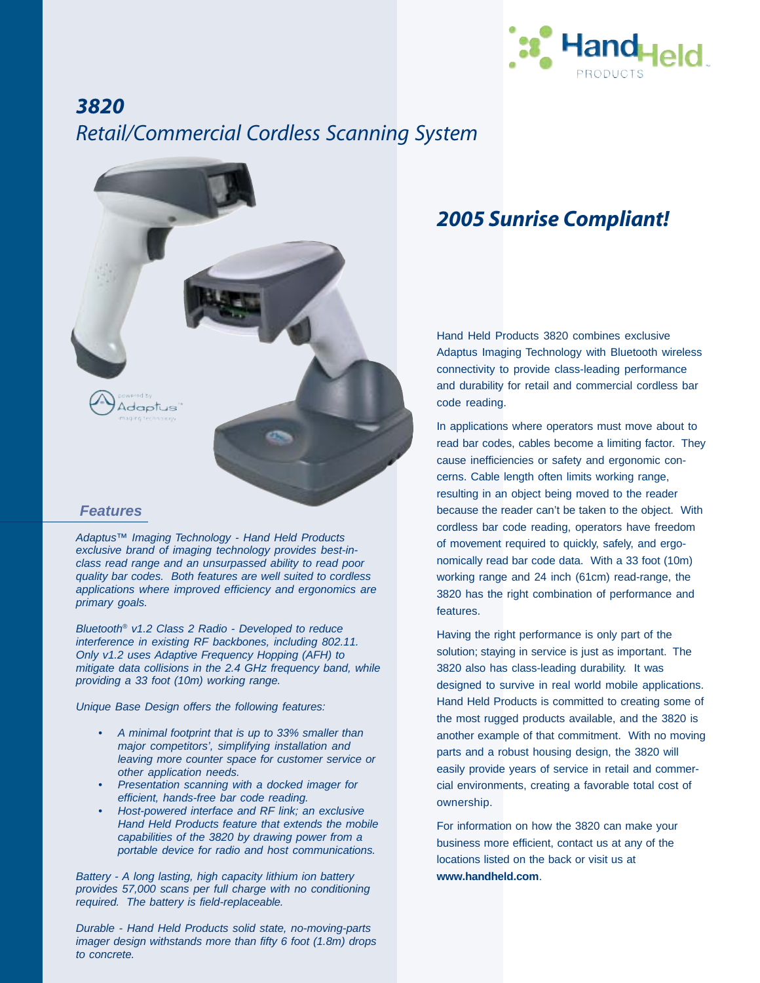

# *3820 Retail/Commercial Cordless Scanning System*



*Adaptus™ Imaging Technology - Hand Held Products exclusive brand of imaging technology provides best-inclass read range and an unsurpassed ability to read poor quality bar codes. Both features are well suited to cordless applications where improved efficiency and ergonomics are primary goals.*

*Bluetooth® v1.2 Class 2 Radio - Developed to reduce interference in existing RF backbones, including 802.11. Only v1.2 uses Adaptive Frequency Hopping (AFH) to mitigate data collisions in the 2.4 GHz frequency band, while providing a 33 foot (10m) working range.*

*Unique Base Design offers the following features:*

- *A minimal footprint that is up to 33% smaller than major competitors', simplifying installation and leaving more counter space for customer service or other application needs.*
- *Presentation scanning with a docked imager for efficient, hands-free bar code reading.*
- *Host-powered interface and RF link; an exclusive Hand Held Products feature that extends the mobile capabilities of the 3820 by drawing power from a portable device for radio and host communications.*

*Battery - A long lasting, high capacity lithium ion battery provides 57,000 scans per full charge with no conditioning required. The battery is field-replaceable.*

*Durable - Hand Held Products solid state, no-moving-parts imager design withstands more than fifty 6 foot (1.8m) drops to concrete.*

### *2005 Sunrise Compliant!*

Hand Held Products 3820 combines exclusive Adaptus Imaging Technology with Bluetooth wireless connectivity to provide class-leading performance and durability for retail and commercial cordless bar code reading.

In applications where operators must move about to read bar codes, cables become a limiting factor. They cause inefficiencies or safety and ergonomic concerns. Cable length often limits working range, resulting in an object being moved to the reader because the reader can't be taken to the object. With cordless bar code reading, operators have freedom of movement required to quickly, safely, and ergonomically read bar code data. With a 33 foot (10m) working range and 24 inch (61cm) read-range, the 3820 has the right combination of performance and features.

Having the right performance is only part of the solution; staying in service is just as important. The 3820 also has class-leading durability. It was designed to survive in real world mobile applications. Hand Held Products is committed to creating some of the most rugged products available, and the 3820 is another example of that commitment. With no moving parts and a robust housing design, the 3820 will easily provide years of service in retail and commercial environments, creating a favorable total cost of ownership.

For information on how the 3820 can make your business more efficient, contact us at any of the locations listed on the back or visit us at **www.handheld.com**.